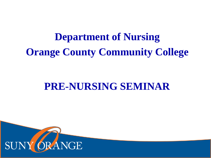# **Department of Nursing Orange County Community College**

# **PRE-NURSING SEMINAR**

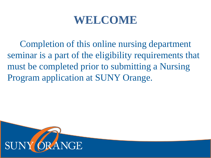# **WELCOME**

Completion of this online nursing department seminar is a part of the eligibility requirements that must be completed prior to submitting a Nursing Program application at SUNY Orange.

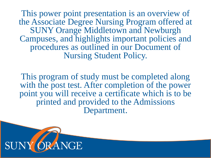This power point presentation is an overview of the Associate Degree Nursing Program offered at SUNY Orange Middletown and Newburgh Campuses, and highlights important policies and procedures as outlined in our Document of Nursing Student Policy.

This program of study must be completed along with the post test. After completion of the power point you will receive a certificate which is to be printed and provided to the Admissions Department.

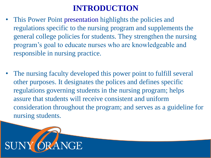## **INTRODUCTION**

- This Power Point presentation highlights the policies and regulations specific to the nursing program and supplements the general college policies for students. They strengthen the nursing program's goal to educate nurses who are knowledgeable and responsible in nursing practice.
- The nursing faculty developed this power point to fulfill several other purposes. It designates the polices and defines specific regulations governing students in the nursing program; helps assure that students will receive consistent and uniform consideration throughout the program; and serves as a guideline for nursing students.

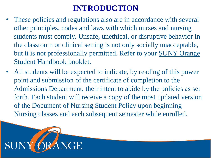## **INTRODUCTION**

- These policies and regulations also are in accordance with several other principles, codes and laws with which nurses and nursing students must comply. Unsafe, unethical, or disruptive behavior in the classroom or clinical setting is not only socially unacceptable, but it is not professionally permitted. Refer to your SUNY Orange Student Handbook booklet.
- All students will be expected to indicate, by reading of this power point and submission of the certificate of completion to the Admissions Department, their intent to abide by the policies as set forth. Each student will receive a copy of the most updated version of the Document of Nursing Student Policy upon beginning Nursing classes and each subsequent semester while enrolled.

![](_page_4_Picture_3.jpeg)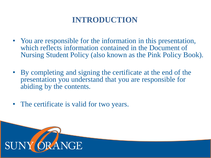## **INTRODUCTION**

- You are responsible for the information in this presentation, which reflects information contained in the Document of Nursing Student Policy (also known as the Pink Policy Book).
- By completing and signing the certificate at the end of the presentation you understand that you are responsible for abiding by the contents.
- The certificate is valid for two years.

![](_page_5_Picture_4.jpeg)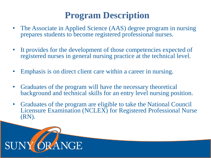# **Program Description**

- The Associate in Applied Science (AAS) degree program in nursing prepares students to become registered professional nurses.
- It provides for the development of those competencies expected of registered nurses in general nursing practice at the technical level.
- Emphasis is on direct client care within a career in nursing.
- Graduates of the program will have the necessary theoretical background and technical skills for an entry level nursing position.
- Graduates of the program are eligible to take the National Council Licensure Examination (NCLEX) for Registered Professional Nurse (RN).

![](_page_6_Picture_6.jpeg)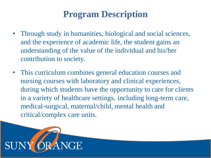# **Program Description**

- Through study in humanities, biological and social sciences, and the experience of academic life, the student gains an understanding of the value of the individual and his/her contribution to society.
- This curriculum combines general education courses and nursing courses with laboratory and clinical experiences, during which students have the opportunity to care for clients in a variety of healthcare settings, including long-term care, medical-surgical, maternal/child, mental health and critical/complex care units.

![](_page_7_Picture_3.jpeg)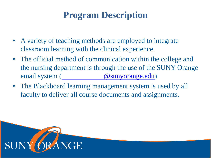# **Program Description**

- A variety of teaching methods are employed to integrate classroom learning with the clinical experience.
- The official method of communication within the college and the nursing department is through the use of the SUNY Orange email system [\(\\_\\_\\_\\_\\_\\_\\_\\_\\_\\_\\_\\_@sunyorange.edu\)](mailto:____________@sunyorange.edu)
- The Blackboard learning management system is used by all faculty to deliver all course documents and assignments.

![](_page_8_Picture_4.jpeg)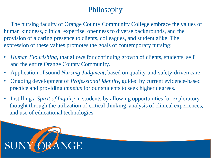### Philosophy

The nursing faculty of Orange County Community College embrace the values of human kindness, clinical expertise, openness to diverse backgrounds, and the provision of a caring presence to clients, colleagues, and student alike. The expression of these values promotes the goals of contemporary nursing:

- *Human Flourishing,* that allows for continuing growth of clients, students, self and the entire Orange County Community.
- Application of sound *Nursing Judgment*, based on quality-and-safety-driven care.
- Ongoing development of *Professional Identity,* guided by current evidence-based practice and providing *impetus* for our students to seek higher degrees.
- Instilling a *Spirit of Inquiry* in students by allowing opportunities for exploratory thought through the utilization of critical thinking, analysis of clinical experiences, and use of educational technologies.

![](_page_9_Picture_6.jpeg)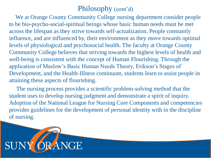### Philosophy (cont'd)

We at Orange County Community College nursing department consider people to be bio-psycho-social-spiritual beings whose basic human needs must be met across the lifespan as they strive towards self-actualization. People constantly influence, and are influenced by, their environment as they move towards optimal levels of physiological and psychosocial health. The faculty at Orange County Community College believes that striving towards the highest levels of health and well-being is consistent with the concept of Human Flourishing. Through the application of Maslow's Basic Human Needs Theory, Erikson's Stages of Development, and the Health-Illness continuum, students learn to assist people in attaining these aspects of flourishing.

The nursing process provides a scientific problem-solving method that the student uses to develop nursing judgment and demonstrate a spirit of inquiry. Adoption of the National League for Nursing Core Components and competencies provides guidelines for the development of personal identity with in the discipline of nursing.

![](_page_10_Picture_3.jpeg)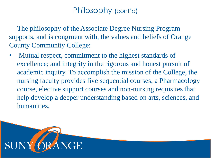### Philosophy (cont'd)

The philosophy of the Associate Degree Nursing Program supports, and is congruent with, the values and beliefs of Orange County Community College:

Mutual respect, commitment to the highest standards of excellence; and integrity in the rigorous and honest pursuit of academic inquiry. To accomplish the mission of the College, the nursing faculty provides five sequential courses, a Pharmacology course, elective support courses and non-nursing requisites that help develop a deeper understanding based on arts, sciences, and humanities.

![](_page_11_Picture_3.jpeg)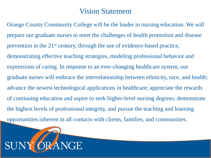### Vision Statement

Orange County Community College will be the leader in nursing education. We will prepare our graduate nurses to meet the challenges of health promotion and disease prevention in the  $21^{st}$  century, through the use of evidence-based practice, demonstrating effective teaching strategies, modeling professional behavior and expressions of caring. In response to an ever-changing healthcare system, our graduate nurses will embrace the interrelationship between ethnicity, race, and health; advance the newest technological applications in healthcare; appreciate the rewards of continuing education and aspire to seek higher-level nursing degrees; demonstrate the highest levels of professional integrity, and pursue the teaching and learning opportunities inherent in all contacts with clients, families, and communities.

![](_page_12_Picture_2.jpeg)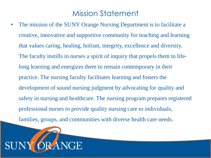### Mission Statement

The mission of the SUNY Orange Nursing Department is to facilitate a creative, innovative and supportive community for teaching and learning that values caring, healing, holism, integrity, excellence and diversity. The faculty instills in nurses a spirit of inquiry that propels them to lifelong learning and energizes them to remain contemporary in their practice. The nursing faculty facilitates learning and fosters the development of sound nursing judgment by advocating for quality and safety in nursing and healthcare. The nursing program prepares registered professional nurses to provide quality nursing care to individuals, families, groups, and communities with diverse health care needs.

![](_page_13_Picture_2.jpeg)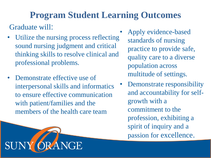# **Program Student Learning Outcomes**

Graduate will:

SUN

- Utilize the nursing process reflecting sound nursing judgment and critical thinking skills to resolve clinical and professional problems.
- Demonstrate effective use of interpersonal skills and informatics to ensure effective communication with patient/families and the members of the health care team

**RANGE** 

- Apply evidence-based standards of nursing practice to provide safe, quality care to a diverse population across multitude of settings.
- Demonstrate responsibility and accountability for selfgrowth with a commitment to the profession, exhibiting a spirit of inquiry and a passion for excellence.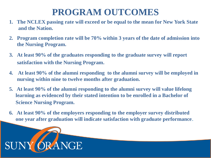# **PROGRAM OUTCOMES**

- **1. The NCLEX passing rate will exceed or be equal to the mean for New York State and the Nation.**
- **2. Program completion rate will be 70% within 3 years of the date of admission into the Nursing Program.**
- **3. At least 90% of the graduates responding to the graduate survey will report satisfaction with the Nursing Program.**
- **4. At least 90% of the alumni responding to the alumni survey will be employed in nursing within nine to twelve months after graduation.**
- **5. At least 90% of the alumni responding to the alumni survey will value lifelong learning as evidenced by their stated intention to be enrolled in a Bachelor of Science Nursing Program.**
- **6. At least 90% of the employers responding to the employer survey distributed one year after graduation will indicate satisfaction with graduate performance**.

![](_page_15_Picture_7.jpeg)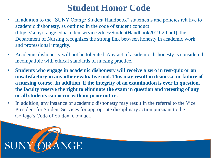- In addition to the "SUNY Orange Student Handbook" statements and policies relative to academic dishonesty, as outlined in the code of student conduct (https://sunyorange.edu/studentservices/docs/StudentHandbook2019-20.pdf), the Department of Nursing recognizes the strong link between honesty in academic work and professional integrity.
- Academic dishonesty will not be tolerated. Any act of academic dishonesty is considered incompatible with ethical standards of nursing practice.
- **Students who engage in academic dishonesty will receive a zero in test/quiz or an unsatisfactory in any other evaluative tool. This may result in dismissal or failure of a nursing course. In addition, if the integrity of an examination is ever in question, the faculty reserve the right to eliminate the exam in question and retesting of any or all students can occur without prior notice.**
- In addition, any instance of academic dishonesty may result in the referral to the Vice President for Student Services for appropriate disciplinary action pursuant to the College's Code of Student Conduct.

![](_page_16_Picture_5.jpeg)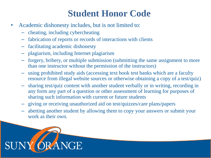- Academic dishonesty includes, but is not limited to:
	- cheating, including cybercheating
	- fabrication of reports or records of interactions with clients
	- facilitating academic dishonesty
	- plagiarism, including Internet plagiarism
	- forgery, bribery, or multiple submission (submitting the same assignment to more than one instructor without the permission of the instructors)
	- using prohibited study aids (accessing text book test banks which are a faculty resource from illegal website sources or otherwise obtaining a copy of a test/quiz)
	- sharing test/quiz content with another student verbally or in writing, recording in any form any part of a question or other assessment of learning for purposes of sharing such information with current or future students
	- giving or receiving unauthorized aid on test/quizzes/care plans/papers
	- abetting another student by allowing them to copy your answers or submit your work as their own.

![](_page_17_Picture_11.jpeg)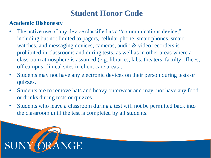#### **Academic Dishonesty**

- The active use of any device classified as a "communications device," including but not limited to pagers, cellular phone, smart phones, smart watches, and messaging devices, cameras, audio & video recorders is prohibited in classrooms and during tests, as well as in other areas where a classroom atmosphere is assumed (e.g. libraries, labs, theaters, faculty offices, off campus clinical sites in client care areas).
- Students may not have any electronic devices on their person during tests or quizzes.
- Students are to remove hats and heavy outerwear and may not have any food or drinks during tests or quizzes.
- Students who leave a classroom during a test will not be permitted back into the classroom until the test is completed by all students.

![](_page_18_Picture_6.jpeg)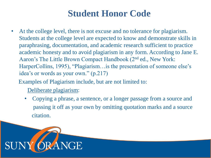At the college level, there is not excuse and no tolerance for plagiarism. Students at the college level are expected to know and demonstrate skills in paraphrasing, documentation, and academic research sufficient to practice academic honesty and to avoid plagiarism in any form. According to Jane E. Aaron's The Little Brown Compact Handbook (2nd ed., New York: HarperCollins, 1995), "Plagiarism…is the presentation of someone else's idea's or words as your own." (p.217)

Examples of Plagiarism include, but are not limited to:

Deliberate plagiarism:

• Copying a phrase, a sentence, or a longer passage from a source and passing it off as your own by omitting quotation marks and a source citation.

![](_page_19_Picture_5.jpeg)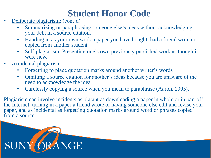- Deliberate plagiarism: (cont'd)
	- Summarizing or paraphrasing someone else's ideas without acknowledging your debt in a source citation.
	- Handing in as your own work a paper you have bought, had a friend write or copied from another student.
	- Self-plagiarism: Presenting one's own previously published work as though it were new.
- Accidental plagiarism:
	- Forgetting to place quotation marks around another writer's words
	- Omitting a source citation for another's ideas because you are unaware of the need to acknowledge the idea
	- Carelessly copying a source when you mean to paraphrase (Aaron, 1995).

Plagiarism can involve incidents as blatant as downloading a paper in whole or in part off the Internet, turning in a paper a friend wrote or having someone else edit and revise your paper, and as incidental as forgetting quotation marks around word or phrases copied from a source.

![](_page_20_Picture_10.jpeg)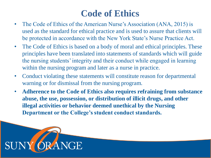## **Code of Ethics**

- The Code of Ethics of the American Nurse's Association (ANA, 2015) is used as the standard for ethical practice and is used to assure that clients will be protected in accordance with the New York State's Nurse Practice Act.
- The Code of Ethics is based on a body of moral and ethical principles. These principles have been translated into statements of standards which will guide the nursing students' integrity and their conduct while engaged in learning within the nursing program and later as a nurse in practice.
- Conduct violating these statements will constitute reason for departmental warning or for dismissal from the nursing program.
- **Adherence to the Code of Ethics also requires refraining from substance abuse, the use, possession, or distribution of illicit drugs, and other illegal activities or behavior deemed unethical by the Nursing Department or the College's student conduct standards.**

![](_page_21_Picture_5.jpeg)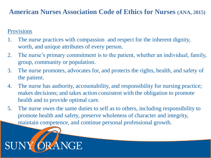#### **American Nurses Association Code of Ethics for Nurses (ANA, 2015)**

#### **Provisions**

- 1. The nurse practices with compassion and respect for the inherent dignity, worth, and unique attributes of every person.
- 2. The nurse's primary commitment is to the patient, whether an individual, family, group, community or population.
- 3. The nurse promotes, advocates for, and protects the rights, health, and safety of the patient.
- 4. The nurse has authority, accountability, and responsibility for nursing practice; makes decisions; and takes action consistent with the obligation to promote health and to provide optimal care.
- 5. The nurse owes the same duties to self as to others, including responsibility to promote health and safety, preserve wholeness of character and integrity, maintain competence, and continue personal professional growth.

![](_page_22_Picture_7.jpeg)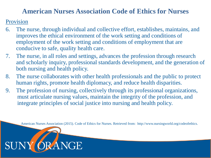#### **American Nurses Association Code of Ethics for Nurses**

Provision

**SUNY** 

- 6. The nurse, through individual and collective effort, establishes, maintains, and improves the ethical environment of the work setting and conditions of employment of the work setting and conditions of employment that are conducive to safe, quality health care.
- 7. The nurse, in all roles and settings, advances the profession through research and scholarly inquiry, professional standards development, and the generation of both nursing and health policy.
- 8. The nurse collaborates with other health professionals and the public to protect human rights, promote health diplomacy, and reduce health disparities.
- 9. The profession of nursing, collectively through its professional organizations, must articulate nursing values, maintain the integrity of the profession, and integrate principles of social justice into nursing and health policy.

RANGE

American Nurses Association (2015). Code of Ethics for Nurses. Retrieved from: http://www.nursingworld.org/codeofethics.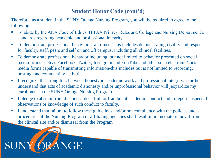#### **Student Honor Code (cont'd)**

Therefore, as a student in the SUNY Orange Nursing Program, you will be required to agree to the following:

- To abide by the ANA Code of Ethics, HIPAA Privacy Rules and College and Nursing Department's standards regarding academic and professional integrity.
- To demonstrate professional behavior at all times. This includes demonstrating civility and respect for faculty, staff, peers and self on and off campus, including all clinical facilities.
- To demonstrate professional behavior including, but not limited to behavior presented on social media forms such as Facebook, Twitter, Instagram and YouTube and other such electronic/social media forms capable of transmitting information-this includes but is not limited to recording, posting, and commenting activities.
- I recognize the strong link between honesty in academic work and professional integrity. I further understand that acts of academic dishonesty and/or unprofessional behavior will jeopardize my enrollment in the SUNY Orange Nursing Program.
- I pledge to abstain from dishonest, deceitful, or fraudulent academic conduct and to report suspected observations or knowledge of such conduct to faculty.
- **I** I understand that failure to follow these guidelines and/or noncompliance with the policies and procedures of the Nursing Program or affiliating agencies shall result in immediate removal from the clinical site and/or dismissal from the Program.

![](_page_24_Picture_8.jpeg)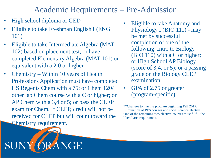### Academic Requirements – Pre-Admission

• High school diploma or GED

SUN

- Eligible to take Freshman English I (ENG 101)
- Eligible to take Intermediate Algebra (MAT 102) based on placement test, or have completed Elementary Algebra (MAT 101) or equivalent with a 2.0 or higher.
- Chemistry Within 10 years of Health Professions Application must have completed HS Regents Chem with a 75; or Chem 120/ other lab Chem course with a C or higher; or AP Chem with a 3,4 or 5; or pass the CLEP exam for Chem. If CLEP, credit will not be received for CLEP but will count toward the Chemistry requirement.

**NGE** 

- Eligible to take Anatomy and Physiology I (BIO 111) - may be met by successful completion of one of the following: Intro to Biology (BIO 110) with a C or higher; or High School AP Biology (score of 3,4, or 5); or a passing grade on the Biology CLEP examination.
- GPA of 2.75 or greater (program-specific)

\*\*Changes to nursing program beginning Fall 2017: Elimination of PES courses and social science elective. One of the remaining two elective courses must fulfill the liberal arts requirement.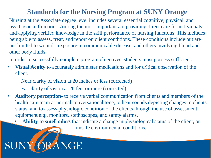#### **Standards for the Nursing Program at SUNY Orange**

Nursing at the Associate degree level includes several essential cognitive, physical, and psychosocial functions. Among the most important are providing direct care for individuals and applying verified knowledge in the skill performance of nursing functions. This includes being able to assess, treat, and report on client conditions. These conditions include but are not limited to wounds, exposure to communicable disease, and others involving blood and other body fluids.

In order to successfully complete program objectives, students must possess sufficient:

- **Visual Acuity** to accurately administer medications and for critical observation of the client.
	- Near clarity of vision at 20 inches or less (corrected)
	- Far clarity of vision at 20 feet or more (corrected)
- **Auditory perception-** to receive verbal communication from clients and members of the health care team at normal conversational tone, to hear sounds depicting changes in clients status, and to assess physiologic condition of the clients through the use of assessment equipment e.g., monitors, stethoscopes, and safety alarms.
	- **Ability to smell odors** that indicate a change in physiological status of the client, or

unsafe environmental conditions.

#### RANGE SUN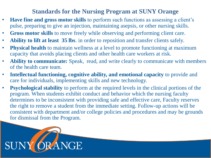#### **Standards for the Nursing Program at SUNY Orange**

- **Have fine and gross motor skills** to perform such functions as assessing a client's pulse, preparing to give an injection, maintaining asepsis, or other nursing skills.
- **Gross motor skills** to move freely while observing and performing client care.
- **Ability to lift at least 35 lbs**. in order to reposition and transfer clients safely.
- **Physical health** to maintain wellness at a level to promote functioning at maximum capacity that avoids placing clients and other health care workers at risk.
- **Ability to communicate:** Speak, read, and write clearly to communicate with members of the health care team.
- **Intellectual functioning, cognitive ability, and emotional capacity** to provide and care for individuals, implementing skills and new technology.
- **Psychological stability** to perform at the required levels in the clinical portions of the program. When students exhibit conduct and behavior which the nursing faculty determines to be inconsistent with providing safe and effective care, Faculty reserves the right to remove a student from the immediate setting. Follow-up actions will be consistent with department and/or college policies and procedures and may be grounds for dismissal from the Program.

![](_page_27_Picture_8.jpeg)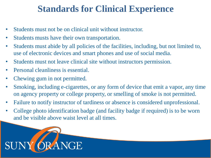## **Standards for Clinical Experience**

- Students must not be on clinical unit without instructor.
- Students musts have their own transportation.
- Students must abide by all policies of the facilities, including, but not limited to, use of electronic devices and smart phones and use of social media.
- Students must not leave clinical site without instructors permission.
- Personal cleanliness is essential.
- Chewing gum in not permitted.
- Smoking, including e-cigarettes, or any form of device that emit a vapor, any time on agency property or college property, or smelling of smoke is not permitted.
- Failure to notify instructor of tardiness or absence is considered unprofessional.
- College photo identification badge (and facility badge if required) is to be worn and be visible above waist level at all times.

![](_page_28_Picture_10.jpeg)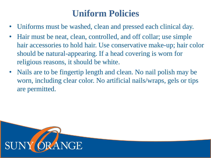# **Uniform Policies**

- Uniforms must be washed, clean and pressed each clinical day.
- Hair must be neat, clean, controlled, and off collar; use simple hair accessories to hold hair. Use conservative make-up; hair color should be natural-appearing. If a head covering is worn for religious reasons, it should be white.
- Nails are to be fingertip length and clean. No nail polish may be worn, including clear color. No artificial nails/wraps, gels or tips are permitted.

![](_page_29_Picture_4.jpeg)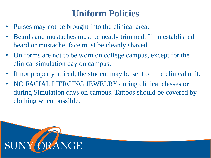# **Uniform Policies**

- Purses may not be brought into the clinical area.
- Beards and mustaches must be neatly trimmed. If no established beard or mustache, face must be cleanly shaved.
- Uniforms are not to be worn on college campus, except for the clinical simulation day on campus.
- If not properly attired, the student may be sent off the clinical unit.
- NO FACIAL PIERCING JEWELRY during clinical classes or during Simulation days on campus. Tattoos should be covered by clothing when possible.

![](_page_30_Picture_6.jpeg)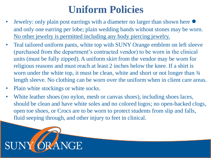# **Uniform Policies**

- Jewelry: only plain post earrings with a diameter no larger than shown here and only one earring per lobe; plain wedding bands without stones may be worn. No other jewelry is permitted including any body piercing jewelry.
- Teal tailored uniform pants, white top with SUNY Orange emblem on left sleeve (purchased from the department's contracted vendor) to be worn in the clinical units (must be fully zipped). A uniform skirt from the vendor may be worn for religious reasons and must reach at least 2 inches below the knee. If a shirt is worn under the white top, it must be clean, white and short or not longer than  $\frac{3}{4}$ length sleeve. No clothing can be worn over the uniform when in client care areas.
- Plain white stockings or white socks.
- White leather shoes (no nylon, mesh or canvas shoes), including shoes laces, should be clean and have white soles and no colored logos; no open-backed clogs, open toe shoes, or Crocs are to be worn to protect students from slip and falls, fluid seeping through, and other injury to feet in clinical.

![](_page_31_Picture_5.jpeg)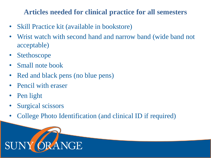### **Articles needed for clinical practice for all semesters**

- Skill Practice kit (available in bookstore)
- Wrist watch with second hand and narrow band (wide band not acceptable)
- Stethoscope
- Small note book
- Red and black pens (no blue pens)
- Pencil with eraser
- Pen light
- Surgical scissors
- College Photo Identification (and clinical ID if required)

![](_page_32_Picture_10.jpeg)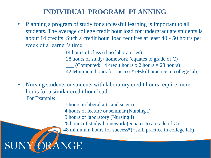### **INDIVIDUAL PROGRAM PLANNING**

• Planning a program of study for successful learning is important to all students. The average college credit hour load for undergraduate students is about 14 credits. Such a credit hour load requires at least 40 - 50 hours per week of a learner's time.

> 14 hours of class (if no laboratories) 28 hours of study/ homework (equates to grade of C)  $\_\_$  (Computed: 14 credit hours x 2 hours = 28 hours) 42 Minimum hours for success\* (+skill practice in college lab)

• Nursing students or students with laboratory credit hours require more hours for a similar credit hour load. For Example:

7 hours in liberal arts and sciences

- 4 hours of lecture or seminar (Nursing I)
- 9 hours of laboratory (Nursing I)
- 28 hours of study/ homework (equates to a grade of C)
- 48 minimum hours for success\*(+skill practice in college lab)

#### **NGE** SUN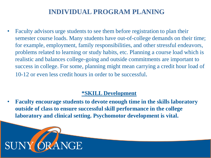### **INDIVIDUAL PROGRAM PLANING**

• Faculty advisors urge students to see them before registration to plan their semester course loads. Many students have out-of-college demands on their time; for example, employment, family responsibilities, and other stressful endeavors, problems related to learning or study habits, etc. Planning a course load which is realistic and balances college-going and outside commitments are important to success in college. For some, planning might mean carrying a credit hour load of 10-12 or even less credit hours in order to be successful.

#### **\*SKILL Development**

• **Faculty encourage students to devote enough time in the skills laboratory outside of class to ensure successful skill performance in the college laboratory and clinical setting. Psychomotor development is vital.**

![](_page_34_Picture_4.jpeg)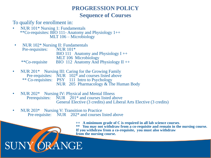#### **PROGRESSION POLICY Sequence of Courses**

To qualify for enrollment in:

- NUR 101\* Nursing 1: Fundamentals \*\*Co-requisites: BIO 111- Anatomy and Physiology 1++ MLT 106 – Microbiology
- NUR 102\* Nursing II: Fundamentals Pre-requisites: NUR 101<sup>\*</sup> BIO 111 Anatomy and Physiology  $I_{++}$ MLT 106 Microbiology \*\*Co-requisite BIO 112 Anatomy And Physiology II ++
- NUR 201<sup>\*</sup> Nursing III: Caring for the Growing Family Pre-requisites: NUR 102<sup>\*</sup> and courses listed above \*\* Co-requisites: PSY 111 Intro to Psychology NUR 205 Pharmacology & The Human Body
- NUR 202\* Nursing IV: Physical and Mental Illness<br>Prerequisites: NUR 201\* and courses listed at NUR  $201*$  and courses listed above General Elective (3 credits) and Liberal Arts Elective (3 credits)
- NUR 203\* Nursing V: Transition to Practice Pre-requisite: NUR 202<sup>\*</sup> and courses listed above

**++ A minimum grade of C is required in all lab science courses**. **\* \*\* You may not withdraw from a co-requisite and remain in the nursing course. If you withdraw from a co-requisite, you must also withdraw from the nursing course.**

#### ORANGE SUN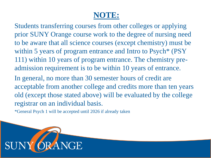## **NOTE:**

Students transferring courses from other colleges or applying prior SUNY Orange course work to the degree of nursing need to be aware that all science courses (except chemistry) must be within 5 years of program entrance and Intro to Psych<sup>\*</sup> (PSY) 111) within 10 years of program entrance. The chemistry preadmission requirement is to be within 10 years of entrance.

In general, no more than 30 semester hours of credit are acceptable from another college and credits more than ten years old (except those stated above) will be evaluated by the college registrar on an individual basis.

\*General Psych 1 will be accepted until 2026 if already taken

![](_page_36_Picture_4.jpeg)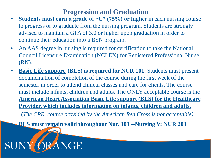#### **Progression and Graduation**

- Students must earn a grade of "C" (75%) or higher in each nursing course to progress or to graduate from the nursing program. Students are strongly advised to maintain a GPA of 3.0 or higher upon graduation in order to continue their education into a BSN program.
- An AAS degree in nursing is required for certification to take the National Council Licensure Examination (NCLEX) for Registered Professional Nurse (RN).
- **Basic Life support (BLS) is required for NUR 101.** Students must present documentation of completion of the course during the first week of the semester in order to attend clinical classes and care for clients. The course must include infants, children and adults. The ONLY acceptable course is the **American Heart Association Basic Life support (BLS) for the Healthcare Provider, which includes information on infants, children and adults.**

**(***The CPR course provided by the American Red Cross is not acceptable)*

• **BLS must remain valid throughout Nur. 101 --Nursing V: NUR 203**

RANGE

SUN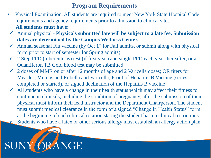#### **Program Requirements**

- Physical Examination: All students are required to meet New York State Hospital Code requirements and agency requirements prior to admission to clinical sites. **All students must have**:
- ✓ Annual physical **Physicals submitted late will be subject to a late fee. Submission dates are determined by the Campus Wellness Center.**
- Annual seasonal Flu vaccine (by Oct 1<sup>st</sup> for Fall admits, or submit along with physical form prior to start of semester for Spring admits).
- 2 Step PPD (tuberculosis) test (if first year) and single PPD each year thereafter; or a Quantiferon TB Gold blood test may be submitted.
- $\checkmark$  2 doses of MMR on or after 12 months of age and 2 Varicella doses; OR titers for Measles, Mumps and Rubella and Varicella; Proof of Hepatitis B Vaccine (series completed or started), or signed declination of the Hepatitis B vaccine
- All students who have a change in their health status which may affect their fitness to continue in clinicals, including the condition of pregnancy, after the submission of their physical must inform their lead instructor and the Department Chairperson. The student must submit medical clearance in the form of a signed "Change in Health Status" form at the beginning of each clinical rotation stating the student has no clinical restrictions. Students who have a latex or other serious allergy must establish an allergy action plan.

![](_page_38_Picture_7.jpeg)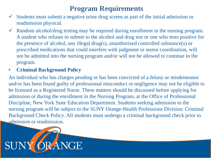### **Program Requirements**

- Students must submit a negative urine drug screen as part of the initial admission or readmission physical.
- $\checkmark$  Random alcohol/drug testing may be required during enrollment in the nursing program. A student who refuses to submit to the alcohol and drug test or one who tests positive for the presence of alcohol, any illegal drug(s), unauthorized controlled substance(s) or prescribed medications that could interfere with judgment or motor coordination, will not be admitted into the nursing program and/or will not be allowed to continue in the program.

#### • **Criminal Background Policy**

An individual who has charges pending or has been convicted of a felony or misdemeanor and/or has been found guilty of professional misconduct or negligence may not be eligible to be licensed as a Registered Nurse. These matters should be discussed before applying for admission or during the enrollment in the Nursing Program, at the Office of Professional Discipline, New York State Education Department. Students seeking admission to the nursing program will be subject to the SUNY Orange-Health Professions Division: Criminal Background Check Policy. All students must undergo a criminal background check prior to admission or readmission.

![](_page_39_Picture_5.jpeg)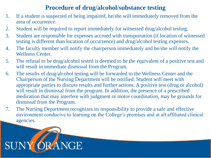#### **Procedure of drug/alcohol/substance testing**

- 1. If a student is suspected of being impaired, he/she will immediately removed from the area of occurrence.
- 2. Student will be required to report immediately for witnessed drug/alcohol testing.
- 3. Student are responsible for expenses accrued with transportation (if location of witnessed testing is different than location of occurrence) and drug/alcohol testing expenses.
- 4. The faculty member will notify the chairperson immediately and he/she will notify the Wellness Center.
- 5. The refusal to be drug/alcohol tested is deemed to be the equivalent of a positive test and will result in immediate dismissal from the Program.
- 6. The results of drug/alcohol testing will be forwarded to the Wellness Center and the Chairperson of the Nursing Department will be notified. Student will meet with appropriate parties to discuss results and further actions. A positive test (drug or alcohol) will result in dismissal from the program. In addition, the presence of a prescribed medication that may interfere with judgment or motor coordination, may be grounds for dismissal from the Program.
- 7. The Nursing Department recognizes its responsibility to provide a safe and effective environment conducive to learning on the College's premises and at all affiliated clinical agencies.

![](_page_40_Picture_8.jpeg)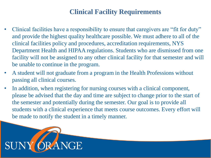#### **Clinical Facility Requirements**

- Clinical facilities have a responsibility to ensure that caregivers are "fit for duty" and provide the highest quality healthcare possible. We must adhere to all of the clinical facilities policy and procedures, accreditation requirements, NYS Department Health and HIPAA regulations. Students who are dismissed from one facility will not be assigned to any other clinical facility for that semester and will be unable to continue in the program.
- A student will not graduate from a program in the Health Professions without passing all clinical courses.
- In addition, when registering for nursing courses with a clinical component, please be advised that the day and time are subject to change prior to the start of the semester and potentially during the semester. Our goal is to provide all students with a clinical experience that meets course outcomes. Every effort will be made to notify the student in a timely manner.

![](_page_41_Picture_4.jpeg)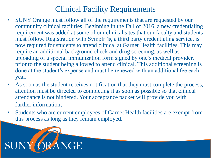## Clinical Facility Requirements

- SUNY Orange must follow all of the requirements that are requested by our community clinical facilities. Beginning in the Fall of 2016, a new credentialing requirement was added at some of our clinical sites that our faculty and students must follow. Registration with Symplr ®, a third party credentialing service, is now required for students to attend clinical at Garnet Health facilities. This may require an additional background check and drug screening, as well as uploading of a special immunization form signed by one's medical provider, prior to the student being allowed to attend clinical. This additional screening is done at the student's expense and must be renewed with an additional fee each year.
- As soon as the student receives notification that they must complete the process, attention must be directed to completing it as soon as possible so that clinical attendance is not hindered. Your acceptance packet will provide you with further information.
- Students who are current employees of Garnet Health facilities are exempt from this process as long as they remain employed.

![](_page_42_Picture_4.jpeg)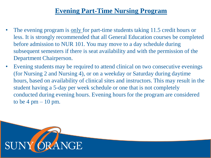### **Evening Part-Time Nursing Program**

- The evening program is <u>only</u> for part-time students taking 11.5 credit hours or less. It is strongly recommended that all General Education courses be completed before admission to NUR 101. You may move to a day schedule during subsequent semesters if there is seat availability and with the permission of the Department Chairperson.
- Evening students may be required to attend clinical on two consecutive evenings (for Nursing 2 and Nursing 4), or on a weekday or Saturday during daytime hours, based on availability of clinical sites and instructors. This may result in the student having a 5-day per week schedule or one that is not completely conducted during evening hours. Evening hours for the program are considered to be  $4 \text{ pm} - 10 \text{ pm}$ .

![](_page_43_Picture_3.jpeg)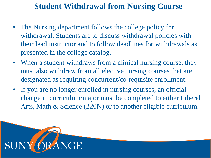## **Student Withdrawal from Nursing Course**

- The Nursing department follows the college policy for withdrawal. Students are to discuss withdrawal policies with their lead instructor and to follow deadlines for withdrawals as presented in the college catalog.
- When a student withdraws from a clinical nursing course, they must also withdraw from all elective nursing courses that are designated as requiring concurrent/co-requisite enrollment.
- If you are no longer enrolled in nursing courses, an official change in curriculum/major must be completed to either Liberal Arts, Math & Science (220N) or to another eligible curriculum.

![](_page_44_Picture_4.jpeg)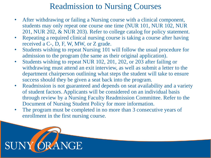## Readmission to Nursing Courses

- After withdrawing or failing a Nursing course with a clinical component, students may only repeat one course one time (NUR 101, NUR 102, NUR 201, NUR 202, & NUR 203). Refer to college catalog for policy statement.
- Repeating a required clinical nursing course is taking a course after having received a C-, D, F, W, MW, or Z grade.
- Students wishing to repeat Nursing 101 will follow the usual procedure for admission to the program (the same as their original application).
- Students wishing to repeat NUR 102, 201, 202, or 203 after failing or withdrawing must attend an exit interview, as well as submit a letter to the department chairperson outlining what steps the student will take to ensure success should they be given a seat back into the program.
- Readmission is not guaranteed and depends on seat availability and a variety of student factors. Applicants will be considered on an individual basis through review by a Nursing Faculty Readmission Committee. Refer to the Document of Nursing Student Policy for more information.
- The program must be completed in no more than 3 consecutive years of enrollment in the first nursing course.

![](_page_45_Picture_7.jpeg)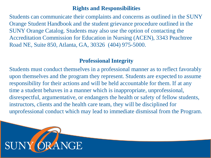#### **Rights and Responsibilities**

Students can communicate their complaints and concerns as outlined in the SUNY Orange Student Handbook and the student grievance procedure outlined in the SUNY Orange Catalog. Students may also use the option of contacting the Accreditation Commission for Education in Nursing (ACEN), 3343 Peachtree Road NE, Suite 850, Atlanta, GA, 30326 (404) 975-5000.

#### **Professional Integrity**

Students must conduct themselves in a professional manner as to reflect favorably upon themselves and the program they represent. Students are expected to assume responsibility for their actions and will be held accountable for them. If at any time a student behaves in a manner which is inappropriate, unprofessional, disrespectful, argumentative, or endangers the health or safety of fellow students, instructors, clients and the health care team, they will be disciplined for unprofessional conduct which may lead to immediate dismissal from the Program.

![](_page_46_Picture_4.jpeg)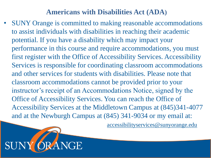### **Americans with Disabilities Act (ADA)**

• SUNY Orange is committed to making reasonable accommodations to assist individuals with disabilities in reaching their academic potential. If you have a disability which may impact your performance in this course and require accommodations, you must first register with the Office of Accessibility Services. Accessibility Services is responsible for coordinating classroom accommodations and other services for students with disabilities. Please note that classroom accommodations cannot be provided prior to your instructor's receipt of an Accommodations Notice, signed by the Office of Accessibility Services. You can reach the Office of Accessibility Services at the Middletown Campus at (845)341-4077 and at the Newburgh Campus at (845) 341-9034 or my email at:

• accessibilityservices@sunyorange.edu

![](_page_47_Picture_3.jpeg)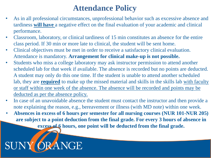## **Attendance Policy**

- As in all professional circumstances, unprofessional behavior such as excessive absence and tardiness **will have** a negative effect on the final evaluation of your academic and clinical performance.
- Classroom, laboratory, or clinical tardiness of 15 min constitutes an absence for the entire class period. If 30 min or more late to clinical, the student will be sent home.
- Clinical objectives must be met in order to receive a satisfactory clinical evaluation. Attendance is mandatory. **Arrangement for clinical make-up is not possible.**
- Students who miss a college laboratory may ask instructor permission to attend another scheduled lab for that week if available. The absence is recorded but no points are deducted. A student may only do this one time. If the student is unable to attend another scheduled lab, they are **required** to make up the missed material and skills in the skills lab with faculty or staff within one week of the absence. The absence will be recorded and points may be deducted as per the absence policy.
- In case of an unavoidable absence the student must contact the instructor and then provide a note explaining the reason, e.g., bereavement or illness (with MD note) within one week.
- **Absences in excess of 6 hours per semester for all nursing courses (NUR 101-NUR 205) are subject to a point deduction from the final grade. For every 3 hours of absence in excess of 6 hours, one point will be deducted from the final grade.**

#### RANGE SUN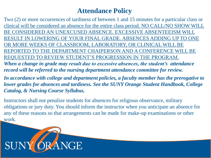### **Attendance Policy**

Two (2) or more occurrences of tardiness of between 1 and 15 minutes for a particular class or clinical will be considered an absence for the entire class period. NO CALL/NO SHOW WILL BE CONSIDERED AN UNEXCUSED ABSENCE. EXCESSIVE ABSENTEEISM WILL RESULT IN LOWERING OF YOUR FINAL GRADE. ABSENCES ADDING UP TO ONE OR MORE WEEKS OF CLASSROOM, LABORATORY, OR CLINICAL WILL BE REPORTED TO THE DEPARTMENT CHAIPERSON AND A CONFERENCE WILL BE REQUESTED TO REVIEW STUDENT'S PROGRESSION IN THE PROGRAM.

*When a change in grade may result due to excessive absences, the student's attendance record will be referred to the nursing department attendance committee for review.*

*In accordance with college and department policies, a faculty member has the prerogative to lower grades for absences and tardiness. See the SUNY Orange Student Handbook, College Catalog, & Nursing Course Syllabus.*

Instructors shall not penalize students for absences for religious observance, military obligations or jury duty. You should inform the instructor when you anticipate an absence for any of these reasons so that arrangements can be made for make-up examinations or other work.

![](_page_49_Picture_5.jpeg)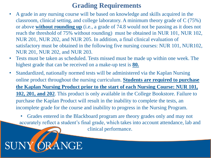### **Grading Requirements**

- A grade in any nursing course will be based on knowledge and skills acquired in the classroom, clinical setting, and college laboratory. A minimum theory grade of C (75%) or above **without rounding up** (i.e., a grade of 74.8 would not be passing as it does not reach the threshold of 75% without rounding) must be obtained in NUR 101, NUR 102, NUR 201, NUR 202, and NUR 205. In addition, a final clinical evaluation of satisfactory must be obtained in the following five nursing courses: NUR 101, NUR102, NUR 201, NUR 202, and NUR 203.
- Tests must be taken as scheduled. Tests missed must be made up within one week. The highest grade that can be received on a make-up test is **80.**
- Standardized, nationally normed tests will be administered via the Kaplan Nursing online product throughout the nursing curriculum. **Students are required to purchase the Kaplan Nursing Product prior to the start of each Nursing Course: NUR 101, 102, 201, and 202**. This product is only available in the College Bookstore. Failure to purchase the Kaplan Product will result in the inability to complete the tests, an incomplete grade for the course and inability to progress in the Nursing Program.
	- Grades entered in the Blackboard program are theory grades only and may not accurately reflect a student's final grade, which takes into account attendance, lab and

clinical performance.

#### **RANGE** SUN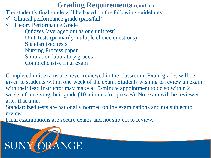### **Grading Requirements (cont'd)**

The student's final grade will be based on the following guidelines:

- $\checkmark$  Clinical performance grade (pass/fail)
- $\checkmark$  Theory Performance Grade

Quizzes (averaged out as one unit test) Unit Tests (primarily multiple choice questions) Standardized tests Nursing Process paper Simulation laboratory grades Comprehensive final exam

Completed unit exams are never reviewed in the classroom. Exam grades will be given to students within one week of the exam. Students wishing to review an exam with their lead instructor may make a 15-minute appointment to do so within 2 weeks of receiving their grade (10 minutes for quizzes). No exam will be reviewed after that time.

Standardized tests are nationally normed online examinations and not subject to review.

Final examinations are secure exams and not subject to review.

![](_page_51_Picture_8.jpeg)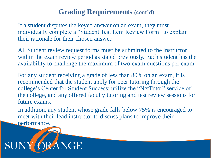### **Grading Requirements (cont'd)**

If a student disputes the keyed answer on an exam, they must individually complete a "Student Test Item Review Form" to explain their rationale for their chosen answer.

All Student review request forms must be submitted to the instructor within the exam review period as stated previously. Each student has the availability to challenge the maximum of two exam questions per exam.

For any student receiving a grade of less than 80% on an exam, it is recommended that the student apply for peer tutoring through the college's Center for Student Success; utilize the "NetTutor" service of the college, and any offered faculty tutoring and test review sessions for future exams.

In addition, any student whose grade falls below 75% is encouraged to meet with their lead instructor to discuss plans to improve their performance.

![](_page_52_Picture_5.jpeg)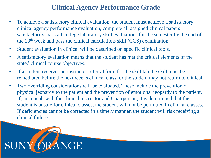### **Clinical Agency Performance Grade**

- To achieve a satisfactory clinical evaluation, the student must achieve a satisfactory clinical agency performance evaluation, complete all assigned clinical papers satisfactorily, pass all college laboratory skill evaluations for the semester by the end of the 13th week and pass the clinical calculations skill (CCS) examination.
- Student evaluation in clinical will be described on specific clinical tools.
- A satisfactory evaluation means that the student has met the critical elements of the stated clinical course objectives.
- If a student receives an instructor referral form for the skill lab the skill must be remediated before the next weeks clinical class, or the student may not return to clinical.
- Two overriding considerations will be evaluated. These include the prevention of physical jeopardy to the patient and the prevention of emotional jeopardy to the patient. If, in consult with the clinical instructor and Chairperson, it is determined that the student is unsafe for clinical classes, the student will not be permitted in clinical classes. If deficiencies cannot be corrected in a timely manner, the student will risk receiving a clinical failure.

![](_page_53_Picture_6.jpeg)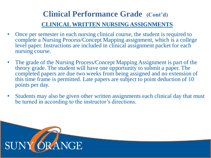## **Clinical Performance Grade (Cont'd) CLINICAL WRITTEN NURSING ASSIGNMENTS**

- Once per semester in each nursing clinical course, the student is required to complete a Nursing Process/Concept Mapping assignment, which is a college level paper. Instructions are included in clinical assignment packet for each nursing course.
- The grade of the Nursing Process/Concept Mapping Assignment is part of the theory grade. The student will have one opportunity to submit a paper. The completed papers are due two weeks from being assigned and no extension of this time frame is permitted. Late papers are subject to point deduction of 10 points per day.
- Students may also be given other written assignments each clinical day that must be turned in according to the instructor's directions.

![](_page_54_Picture_4.jpeg)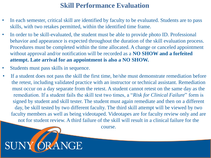#### **Skill Performance Evaluation**

- In each semester, critical skill are identified by faculty to be evaluated. Students are to pass skills, with two retakes permitted, within the identified time frame.
- In order to be skill-evaluated, the student must be able to provide photo ID. Professional behavior and appearance is expected throughout the duration of the skill evaluation process. Procedures must be completed within the time allocated. A change or canceled appointment without approval and/or notification will be recorded as a **NO SHOW and a forfeited attempt. Late arrival for an appointment is also a NO SHOW.**
- Students must pass skills in sequence.
	- If a student does not pass the skill the first time, he/she must demonstrate remediation before the retest, including validated practice with an instructor or technical assistant. Remediation must occur on a day separate from the retest. A student cannot retest on the same day as the remediation. If a student fails the skill test two times, a "*Risk for Clinical Failure*" form is signed by student and skill tester. The student must again remediate and then on a different day, be skill tested by two different faculty. The third skill attempt will be viewed by two faculty members as well as being videotaped. Videotapes are for faculty review only and are not for student review. A third failure of the skill will result in a clinical failure for the

course.

![](_page_55_Picture_6.jpeg)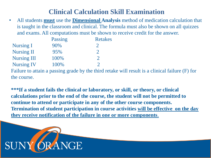#### **Clinical Calculation Skill Examination**

• All students **must** use the **Dimensional Analysis** method of medication calculation that is taught in the classroom and clinical. The formula must also be shown on all quizzes and exams. All computations must be shown to receive credit for the answer.

|                    | Passing | <b>Retakes</b> |
|--------------------|---------|----------------|
| <b>Nursing I</b>   | 90%     |                |
| <b>Nursing II</b>  | 95%     |                |
| <b>Nursing III</b> | 100%    |                |
| <b>Nursing IV</b>  | 100%    |                |

Failure to attain a passing grade by the third retake will result is a clinical failure (F) for the course.

**\*\*\*If a student fails the clinical or laboratory, or skill, or theory, or clinical calculations prior to the end of the course, the student will not be permitted to continue to attend or participate in any of the other course components. Termination of student participation in course activities will be effective on the day they receive notification of the failure in one or more components**.

![](_page_56_Picture_5.jpeg)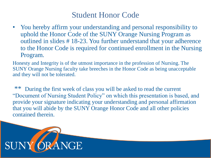• You hereby affirm your understanding and personal responsibility to uphold the Honor Code of the SUNY Orange Nursing Program as outlined in slides # 18-23. You further understand that your adherence to the Honor Code is required for continued enrollment in the Nursing Program.

Honesty and Integrity is of the utmost importance in the profession of Nursing. The SUNY Orange Nursing faculty take breeches in the Honor Code as being unacceptable and they will not be tolerated.

During the first week of class you will be asked to read the current "Document of Nursing Student Policy" on which this presentation is based, and provide your signature indicating your understanding and personal affirmation that you will abide by the SUNY Orange Honor Code and all other policies contained therein.

![](_page_57_Picture_4.jpeg)